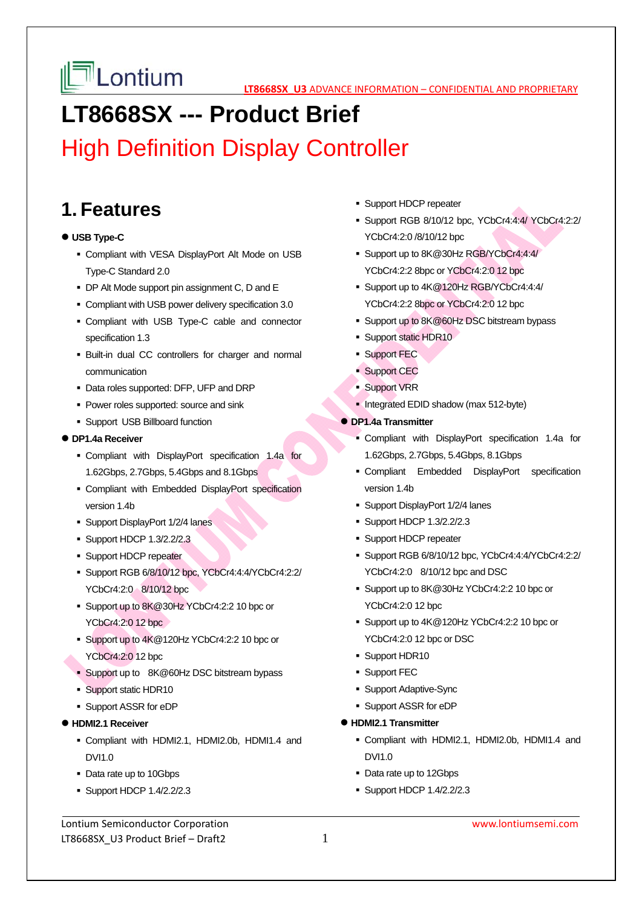# **LT8668SX --- Product Brief**

# High Definition Display Controller

## **1. Features**

#### **USB Type-C**

- Compliant with VESA DisplayPort Alt Mode on USB Type-C Standard 2.0
- DP Alt Mode support pin assignment C, D and E
- Compliant with USB power delivery specification 3.0
- Compliant with USB Type-C cable and connector specification 1.3
- Built-in dual CC controllers for charger and normal communication
- Data roles supported: DFP, UFP and DRP
- **Power roles supported: source and sink**
- **Support USB Billboard function**

#### **DP1.4a Receiver**

- Compliant with DisplayPort specification 1.4a for 1.62Gbps, 2.7Gbps, 5.4Gbps and 8.1Gbps
- Compliant with Embedded DisplayPort specification version 1.4b
- Support DisplayPort 1/2/4 lanes
- **Support HDCP 1.3/2.2/2.3**
- **Support HDCP repeater**
- Support RGB 6/8/10/12 bpc, YCbCr4:4:4/YCbCr4:2:2/ YCbCr4:2:0 8/10/12 bpc
- Support up to 8K@30Hz YCbCr4:2:2 10 bpc or YCbCr4:2:0 12 bpc
- Support up to 4K@120Hz YCbCr4:2:2 10 bpc or YCbCr4:2:0 12 bpc
- Support up to 8K@60Hz DSC bitstream bypass
- **Support static HDR10**
- Support ASSR for eDP
- **HDMI2.1 Receiver**
	- Compliant with HDMI2.1, HDMI2.0b, HDMI1.4 and DVI1.0
	- Data rate up to 10Gbps
	- Support HDCP 1.4/2.2/2.3
- **Support HDCP repeater**
- Support RGB 8/10/12 bpc, YCbCr4:4:4/ YCbCr4:2:2/ YCbCr4:2:0 /8/10/12 bpc
- Support up to 8K@30Hz RGB/YCbCr4:4:4/ YCbCr4:2:2 8bpc or YCbCr4:2:0 12 bpc
- Support up to  $4K@120Hz$  RGB/YCbCr4:4:4/ YCbCr4:2:2 8bpc or YCbCr4:2:0 12 bpc
- Support up to 8K@60Hz DSC bitstream bypass
- **Support static HDR10**
- Support FEC
- **Support CEC**
- Support VRR
- Integrated EDID shadow (max 512-byte)
- **DP1.4a Transmitter** 
	- Compliant with DisplayPort specification 1.4a for 1.62Gbps, 2.7Gbps, 5.4Gbps, 8.1Gbps
	- Compliant Embedded DisplayPort specification version 1.4b
	- Support DisplayPort 1/2/4 lanes
	- **Support HDCP 1.3/2.2/2.3**
	- **Support HDCP repeater**
	- Support RGB 6/8/10/12 bpc, YCbCr4:4:4/YCbCr4:2:2/ YCbCr4:2:0 8/10/12 bpc and DSC
	- Support up to 8K@30Hz YCbCr4:2:2 10 bpc or YCbCr4:2:0 12 bpc
	- Support up to  $4K@120Hz$  YCbCr4:2:2 10 bpc or YCbCr4:2:0 12 bpc or DSC
	- **Support HDR10**
	- **Support FEC**
	- Support Adaptive-Sync
	- Support ASSR for eDP
- **HDMI2.1 Transmitter** 
	- Compliant with HDMI2.1, HDMI2.0b, HDMI1.4 and DVI1.0
	- Data rate up to 12Gbps
	- **Support HDCP 1.4/2.2/2.3**

Lontium Semiconductor Corporation www.lontiumsemi.com LT8668SX\_U3 Product Brief – Draft2 1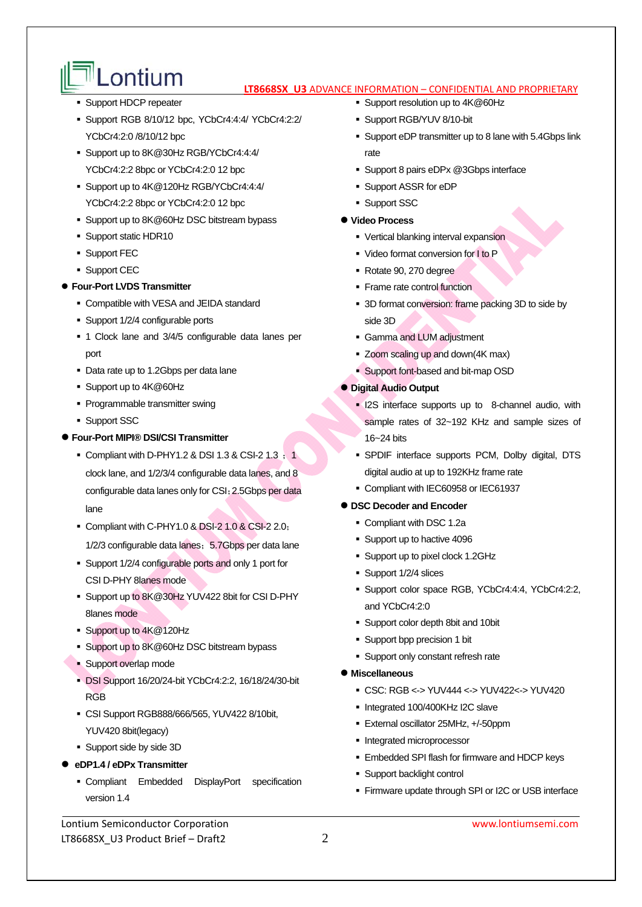- $\mathbb{P}^{\parallel}$  **Lontium** tregisss us advance information confidential and proprietary
- **Support HDCP repeater**
- Support RGB 8/10/12 bpc, YCbCr4:4:4/ YCbCr4:2:2/ YCbCr4:2:0 /8/10/12 bpc
- Support up to 8K@30Hz RGB/YCbCr4:4:4/ YCbCr4:2:2 8bpc or YCbCr4:2:0 12 bpc
- Support up to 4K@120Hz RGB/YCbCr4:4:4/ YCbCr4:2:2 8bpc or YCbCr4:2:0 12 bpc
- Support up to 8K@60Hz DSC bitstream bypass
- **Support static HDR10**
- **Support FEC**
- **Support CEC**

#### **Four-Port LVDS Transmitter**

- Compatible with VESA and JEIDA standard
- Support 1/2/4 configurable ports
- 1 Clock lane and 3/4/5 configurable data lanes per port
- Data rate up to 1.2Gbps per data lane
- Support up to 4K@60Hz
- **Programmable transmitter swing**
- **Support SSC**
- **Four-Port MIPI® DSI/CSI Transmitter** 
	- Compliant with D-PHY1.2 & DSI 1.3 & CSI-2 1.3  $\frac{1}{3}$ clock lane, and 1/2/3/4 configurable data lanes, and 8 configurable data lanes only for CSI;2.5Gbps per data lane
	- Compliant with C-PHY1.0 & DSI-2 1.0 & CSI-2 2.0; 1/2/3 configurable data lanes; 5.7Gbps per data lane
	- Support 1/2/4 configurable ports and only 1 port for CSI D-PHY 8lanes mode
	- Support up to 8K@30Hz YUV422 8bit for CSI D-PHY 8lanes mode
	- Support up to 4K@120Hz
	- Support up to 8K@60Hz DSC bitstream bypass
	- **Support overlap mode**
	- DSI Support 16/20/24-bit YCbCr4:2:2, 16/18/24/30-bit RGB
	- CSI Support RGB888/666/565, YUV422 8/10bit, YUV420 8bit(legacy)
	- Support side by side 3D
- **eDP1.4 / eDPx Transmitter** 
	- Compliant Embedded DisplayPort specification version 1.4

Lontium Semiconductor Corporation www.lontiumsemi.com LT8668SX\_U3 Product Brief – Draft2  $2$ 

- Support resolution up to 4K@60Hz
- Support RGB/YUV 8/10-bit
- Support eDP transmitter up to 8 lane with 5.4Gbps link rate
- Support 8 pairs eDPx @3Gbps interface
- Support ASSR for eDP
- **Support SSC**

#### **Video Process**

- Vertical blanking interval expansion
- Video format conversion for I to P
- Rotate 90, 270 degree
- Frame rate control function
- 3D format conversion: frame packing 3D to side by side 3D
- Gamma and LUM adjustment
- Zoom scaling up and down(4K max)
- Support font-based and bit-map OSD

#### **Digital Audio Output**

- **I2S** interface supports up to 8-channel audio, with sample rates of 32~192 KHz and sample sizes of 16~24 bits
- SPDIF interface supports PCM, Dolby digital, DTS digital audio at up to 192KHz frame rate
- Compliant with IEC60958 or IEC61937

#### **DSC Decoder and Encoder**

- Compliant with DSC 1.2a
- Support up to hactive 4096
- Support up to pixel clock 1.2GHz
- Support 1/2/4 slices
- Support color space RGB, YCbCr4:4:4, YCbCr4:2:2, and YCbCr4:2:0
- Support color depth 8bit and 10bit
- Support bpp precision 1 bit
- **Support only constant refresh rate**

#### **Miscellaneous**

- CSC: RGB <-> YUV444 <-> YUV422<-> YUV420
- Integrated 100/400KHz I2C slave
- External oscillator 25MHz, +/-50ppm
- Integrated microprocessor
- **Embedded SPI flash for firmware and HDCP keys**
- **Support backlight control**
- Firmware update through SPI or I2C or USB interface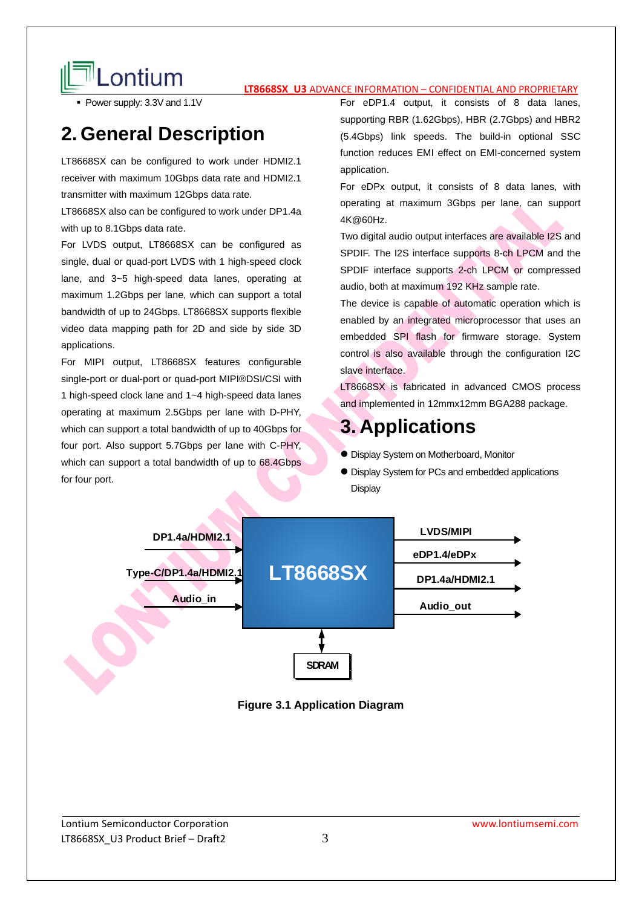

# **LONTIUM LETAGE US** ADVANCE INFORMATION – CONFIDENTIAL AND PROPRIETARY

• Power supply: 3.3V and 1.1V

## **2. General Description**

LT8668SX can be configured to work under HDMI2.1 receiver with maximum 10Gbps data rate and HDMI2.1 transmitter with maximum 12Gbps data rate.

LT8668SX also can be configured to work under DP1.4a with up to 8.1Gbps data rate.

For LVDS output, LT8668SX can be configured as single, dual or quad-port LVDS with 1 high-speed clock lane, and 3~5 high-speed data lanes, operating at maximum 1.2Gbps per lane, which can support a total bandwidth of up to 24Gbps. LT8668SX supports flexible video data mapping path for 2D and side by side 3D applications.

For MIPI output, LT8668SX features configurable single-port or dual-port or quad-port MIPI®DSI/CSI with 1 high-speed clock lane and 1~4 high-speed data lanes operating at maximum 2.5Gbps per lane with D-PHY, which can support a total bandwidth of up to 40Gbps for four port. Also support 5.7Gbps per lane with C-PHY, which can support a total bandwidth of up to 68.4Gbps for four port.

For eDP1.4 output, it consists of 8 data lanes, supporting RBR (1.62Gbps), HBR (2.7Gbps) and HBR2 (5.4Gbps) link speeds. The build-in optional SSC function reduces EMI effect on EMI-concerned system application.

For eDPx output, it consists of 8 data lanes, with operating at maximum 3Gbps per lane, can support 4K@60Hz.

Two digital audio output interfaces are available I2S and SPDIF. The I2S interface supports 8-ch LPCM and the SPDIF interface supports 2-ch LPCM or compressed audio, both at maximum 192 KHz sample rate.

The device is capable of automatic operation which is enabled by an integrated microprocessor that uses an embedded SPI flash for firmware storage. System control is also available through the configuration I2C slave interface.

LT8668SX is fabricated in advanced CMOS process and implemented in 12mmx12mm BGA288 package.

### **3. Applications**

- Display System on Motherboard, Monitor
- $\bullet$  Display System for PCs and embedded applications **Display**



**Figure 3.1 Application Diagram**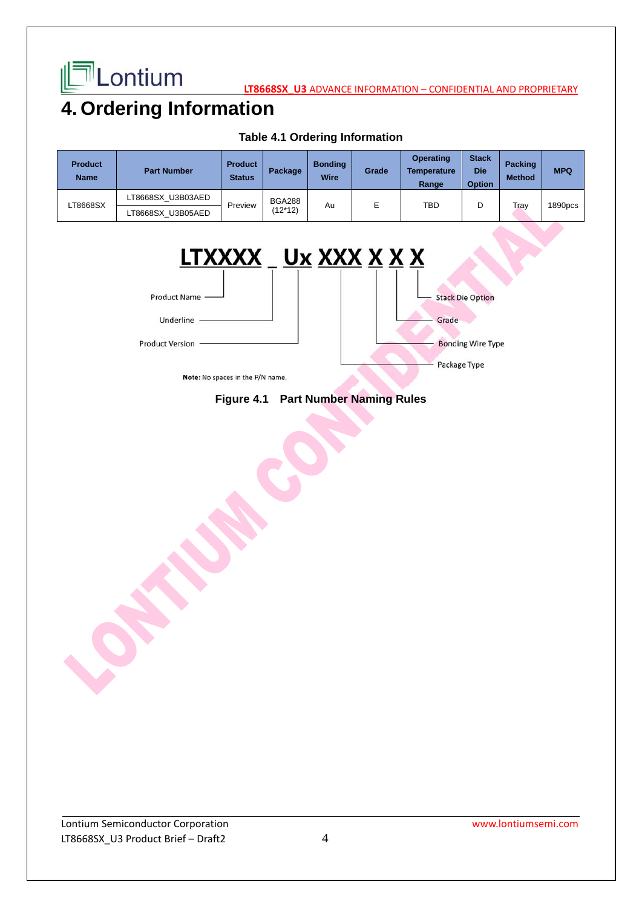

**LATE LONIUM** 

# **4. Ordering Information**

| <b>Product</b><br><b>Name</b> | <b>Part Number</b> | <b>Product</b><br><b>Status</b> | Package                  | <b>Bonding</b><br>Wire | Grade | <b>Operating</b><br><b>Temperature</b><br>Range | <b>Stack</b><br><b>Die</b><br><b>Option</b> | <b>Packing</b><br><b>Method</b> | <b>MPQ</b> |
|-------------------------------|--------------------|---------------------------------|--------------------------|------------------------|-------|-------------------------------------------------|---------------------------------------------|---------------------------------|------------|
| LT8668SX                      | LT8668SX U3B03AED  | Preview                         | <b>BGA288</b><br>(12*12) | Au                     | E     | TBD                                             | D                                           | Trav                            | 1890pcs    |
|                               | LT8668SX U3B05AED  |                                 |                          |                        |       |                                                 |                                             |                                 |            |

#### **Table 4.1 Ordering Information**



#### **Figure 4.1 Part Number Naming Rules**